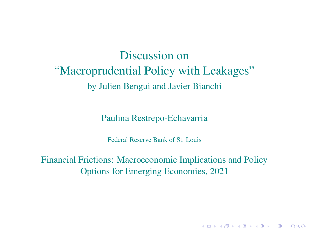# Discussion on "Macroprudential Policy with Leakages" by Julien Bengui and Javier Bianchi

Paulina Restrepo-Echavarria

Federal Reserve Bank of St. Louis

Financial Frictions: Macroeconomic Implications and Policy Options for Emerging Economies, 2021

K ロ ▶ K @ ▶ K 할 ▶ K 할 ▶ | 할 | ⊙Q @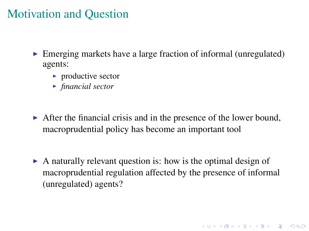## Motivation and Question

- $\triangleright$  Emerging markets have a large fraction of informal (unregulated) agents:
	- $\blacktriangleright$  productive sector
	- **Financial sector**
- $\triangleright$  After the financial crisis and in the presence of the lower bound, macroprudential policy has become an important tool
- $\triangleright$  A naturally relevant question is: how is the optimal design of macroprudential regulation affected by the presence of informal (unregulated) agents?

**K ロ K K (日 K K B K X B K X B K K K K G K C K**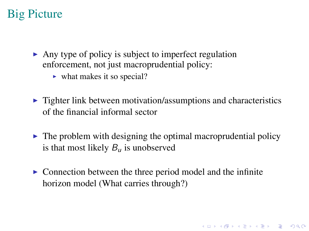# Big Picture

- $\blacktriangleright$  Any type of policy is subject to imperfect regulation enforcement, not just macroprudential policy:
	- $\blacktriangleright$  what makes it so special?
- $\triangleright$  Tighter link between motivation/assumptions and characteristics of the financial informal sector
- $\triangleright$  The problem with designing the optimal macroprudential policy is that most likely  $B_{\mu}$  is unobserved

**A O A G A 4 B A 4 B A B A 9 A C** 

 $\triangleright$  Connection between the three period model and the infinite horizon model (What carries through?)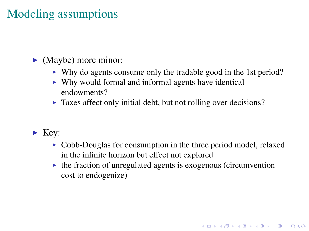# Modeling assumptions

#### $\blacktriangleright$  (Maybe) more minor:

- $\triangleright$  Why do agents consume only the tradable good in the 1st period?
- $\triangleright$  Why would formal and informal agents have identical endowments?
- $\triangleright$  Taxes affect only initial debt, but not rolling over decisions?
- $\blacktriangleright$  Key:
	- $\triangleright$  Cobb-Douglas for consumption in the three period model, relaxed in the infinite horizon but effect not explored

**KORKARYKERKE POLO** 

 $\triangleright$  the fraction of unregulated agents is exogenous (circumvention cost to endogenize)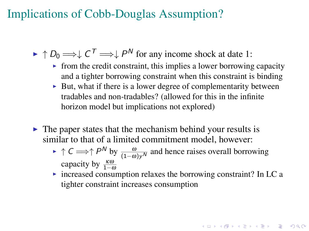### Implications of Cobb-Douglas Assumption?

 $\blacktriangleright \uparrow D_0 \Longrightarrow \downarrow C^{\mathsf{T}} \Longrightarrow \downarrow P^{\mathsf{N}}$  for any income shock at date 1:

- $\triangleright$  from the credit constraint, this implies a lower borrowing capacity and a tighter borrowing constraint when this constraint is binding
- $\triangleright$  But, what if there is a lower degree of complementarity between tradables and non-tradables? (allowed for this in the infinite horizon model but implications not explored)
- $\triangleright$  The paper states that the mechanism behind your results is similar to that of a limited commitment model, however:
	- $\triangleright \uparrow C \Longrightarrow \uparrow P^N$  by  $\frac{\omega}{(1-\omega)y^N}$  and hence raises overall borrowing capacity by  $\frac{\kappa \omega}{1-\omega}$
	- $\triangleright$  increased consumption relaxes the borrowing constraint? In LC a tighter constraint increases consumption

**A O A A A A A A A A A A A A A A A A A**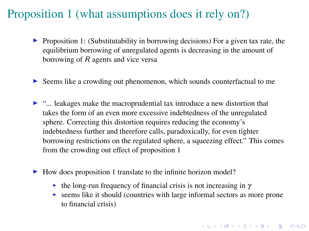### Proposition 1 (what assumptions does it rely on?)

- $\triangleright$  Proposition 1: (Substitutability in borrowing decisions) For a given tax rate, the equilibrium borrowing of unregulated agents is decreasing in the amount of borrowing of R agents and vice versa
- $\triangleright$  Seems like a crowding out phenomenon, which sounds counterfactual to me
- $\triangleright$  "... leakages make the macroprudential tax introduce a new distortion that takes the form of an even more excessive indebtedness of the unregulated sphere. Correcting this distortion requires reducing the economy's indebtedness further and therefore calls, paradoxically, for even tighter borrowing restrictions on the regulated sphere, a squeezing effect." This comes from the crowding out effect of proposition 1
- $\blacktriangleright$  How does proposition 1 translate to the infinite horizon model?
	- $\triangleright$  the long-run frequency of financial crisis is not increasing in  $\gamma$
	- $\triangleright$  seems like it should (countries with large informal sectors as more prone to financial crisis)

**A O A G A 4 B A 4 B A B A 9 A C**